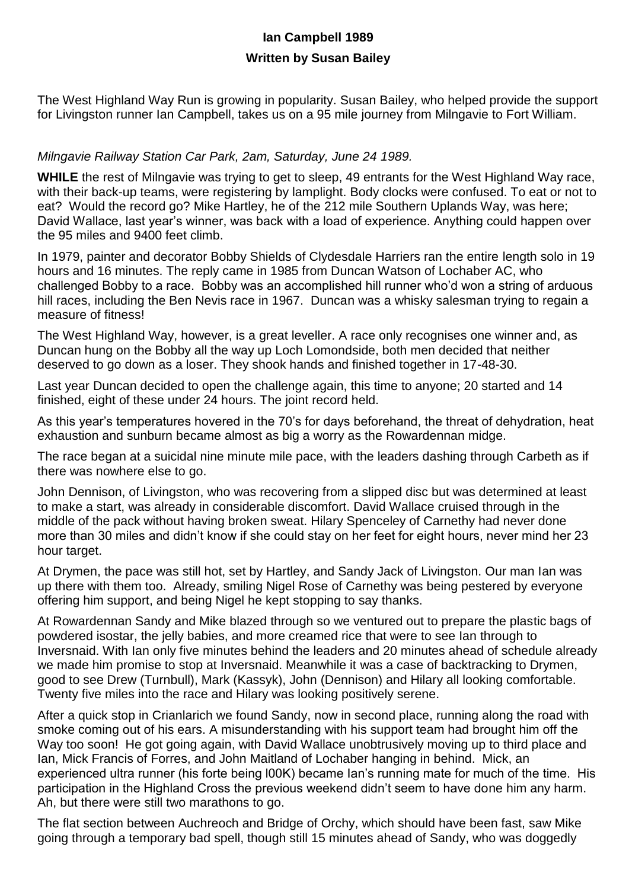## **Ian Campbell 1989 Written by Susan Bailey**

The West Highland Way Run is growing in popularity. Susan Bailey, who helped provide the support for Livingston runner Ian Campbell, takes us on a 95 mile journey from Milngavie to Fort William.

## *Milngavie Railway Station Car Park, 2am, Saturday, June 24 1989.*

**WHILE** the rest of Milngavie was trying to get to sleep, 49 entrants for the West Highland Way race, with their back-up teams, were registering by lamplight. Body clocks were confused. To eat or not to eat? Would the record go? Mike Hartley, he of the 212 mile Southern Uplands Way, was here; David Wallace, last year's winner, was back with a load of experience. Anything could happen over the 95 miles and 9400 feet climb.

In 1979, painter and decorator Bobby Shields of Clydesdale Harriers ran the entire length solo in 19 hours and 16 minutes. The reply came in 1985 from Duncan Watson of Lochaber AC, who challenged Bobby to a race. Bobby was an accomplished hill runner who'd won a string of arduous hill races, including the Ben Nevis race in 1967. Duncan was a whisky salesman trying to regain a measure of fitness!

The West Highland Way, however, is a great leveller. A race only recognises one winner and, as Duncan hung on the Bobby all the way up Loch Lomondside, both men decided that neither deserved to go down as a loser. They shook hands and finished together in 17-48-30.

Last year Duncan decided to open the challenge again, this time to anyone; 20 started and 14 finished, eight of these under 24 hours. The joint record held.

As this year's temperatures hovered in the 70's for days beforehand, the threat of dehydration, heat exhaustion and sunburn became almost as big a worry as the Rowardennan midge.

The race began at a suicidal nine minute mile pace, with the leaders dashing through Carbeth as if there was nowhere else to go.

John Dennison, of Livingston, who was recovering from a slipped disc but was determined at least to make a start, was already in considerable discomfort. David Wallace cruised through in the middle of the pack without having broken sweat. Hilary Spenceley of Carnethy had never done more than 30 miles and didn't know if she could stay on her feet for eight hours, never mind her 23 hour target.

At Drymen, the pace was still hot, set by Hartley, and Sandy Jack of Livingston. Our man Ian was up there with them too. Already, smiling Nigel Rose of Carnethy was being pestered by everyone offering him support, and being Nigel he kept stopping to say thanks.

At Rowardennan Sandy and Mike blazed through so we ventured out to prepare the plastic bags of powdered isostar, the jelly babies, and more creamed rice that were to see Ian through to Inversnaid. With Ian only five minutes behind the leaders and 20 minutes ahead of schedule already we made him promise to stop at Inversnaid. Meanwhile it was a case of backtracking to Drymen, good to see Drew (Turnbull), Mark (Kassyk), John (Dennison) and Hilary all looking comfortable. Twenty five miles into the race and Hilary was looking positively serene.

After a quick stop in Crianlarich we found Sandy, now in second place, running along the road with smoke coming out of his ears. A misunderstanding with his support team had brought him off the Way too soon! He got going again, with David Wallace unobtrusively moving up to third place and Ian, Mick Francis of Forres, and John Maitland of Lochaber hanging in behind. Mick, an experienced ultra runner (his forte being l00K) became Ian's running mate for much of the time. His participation in the Highland Cross the previous weekend didn't seem to have done him any harm. Ah, but there were still two marathons to go.

The flat section between Auchreoch and Bridge of Orchy, which should have been fast, saw Mike going through a temporary bad spell, though still 15 minutes ahead of Sandy, who was doggedly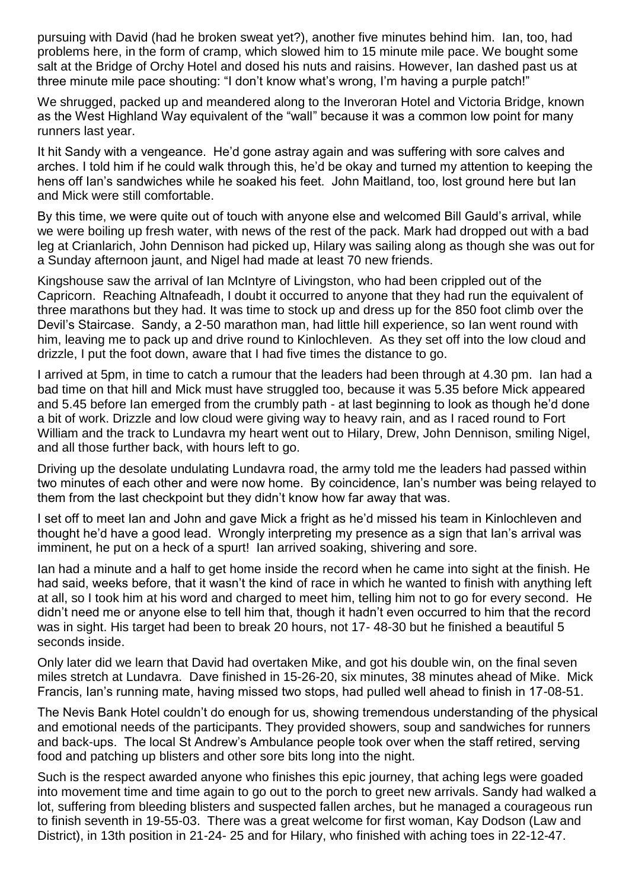pursuing with David (had he broken sweat yet?), another five minutes behind him. Ian, too, had problems here, in the form of cramp, which slowed him to 15 minute mile pace. We bought some salt at the Bridge of Orchy Hotel and dosed his nuts and raisins. However, Ian dashed past us at three minute mile pace shouting: "I don't know what's wrong, I'm having a purple patch!"

We shrugged, packed up and meandered along to the Inveroran Hotel and Victoria Bridge, known as the West Highland Way equivalent of the "wall" because it was a common low point for many runners last year.

It hit Sandy with a vengeance. He'd gone astray again and was suffering with sore calves and arches. I told him if he could walk through this, he'd be okay and turned my attention to keeping the hens off Ian's sandwiches while he soaked his feet. John Maitland, too, lost ground here but Ian and Mick were still comfortable.

By this time, we were quite out of touch with anyone else and welcomed Bill Gauld's arrival, while we were boiling up fresh water, with news of the rest of the pack. Mark had dropped out with a bad leg at Crianlarich, John Dennison had picked up, Hilary was sailing along as though she was out for a Sunday afternoon jaunt, and Nigel had made at least 70 new friends.

Kingshouse saw the arrival of Ian McIntyre of Livingston, who had been crippled out of the Capricorn. Reaching Altnafeadh, I doubt it occurred to anyone that they had run the equivalent of three marathons but they had. It was time to stock up and dress up for the 850 foot climb over the Devil's Staircase. Sandy, a 2-50 marathon man, had little hill experience, so Ian went round with him, leaving me to pack up and drive round to Kinlochleven. As they set off into the low cloud and drizzle, I put the foot down, aware that I had five times the distance to go.

I arrived at 5pm, in time to catch a rumour that the leaders had been through at 4.30 pm. Ian had a bad time on that hill and Mick must have struggled too, because it was 5.35 before Mick appeared and 5.45 before Ian emerged from the crumbly path - at last beginning to look as though he'd done a bit of work. Drizzle and low cloud were giving way to heavy rain, and as I raced round to Fort William and the track to Lundavra my heart went out to Hilary, Drew, John Dennison, smiling Nigel, and all those further back, with hours left to go.

Driving up the desolate undulating Lundavra road, the army told me the leaders had passed within two minutes of each other and were now home. By coincidence, Ian's number was being relayed to them from the last checkpoint but they didn't know how far away that was.

I set off to meet Ian and John and gave Mick a fright as he'd missed his team in Kinlochleven and thought he'd have a good lead. Wrongly interpreting my presence as a sign that Ian's arrival was imminent, he put on a heck of a spurt! Ian arrived soaking, shivering and sore.

Ian had a minute and a half to get home inside the record when he came into sight at the finish. He had said, weeks before, that it wasn't the kind of race in which he wanted to finish with anything left at all, so I took him at his word and charged to meet him, telling him not to go for every second. He didn't need me or anyone else to tell him that, though it hadn't even occurred to him that the record was in sight. His target had been to break 20 hours, not 17- 48-30 but he finished a beautiful 5 seconds inside.

Only later did we learn that David had overtaken Mike, and got his double win, on the final seven miles stretch at Lundavra. Dave finished in 15-26-20, six minutes, 38 minutes ahead of Mike. Mick Francis, Ian's running mate, having missed two stops, had pulled well ahead to finish in 17-08-51.

The Nevis Bank Hotel couldn't do enough for us, showing tremendous understanding of the physical and emotional needs of the participants. They provided showers, soup and sandwiches for runners and back-ups. The local St Andrew's Ambulance people took over when the staff retired, serving food and patching up blisters and other sore bits long into the night.

Such is the respect awarded anyone who finishes this epic journey, that aching legs were goaded into movement time and time again to go out to the porch to greet new arrivals. Sandy had walked a lot, suffering from bleeding blisters and suspected fallen arches, but he managed a courageous run to finish seventh in 19-55-03. There was a great welcome for first woman, Kay Dodson (Law and District), in 13th position in 21-24- 25 and for Hilary, who finished with aching toes in 22-12-47.